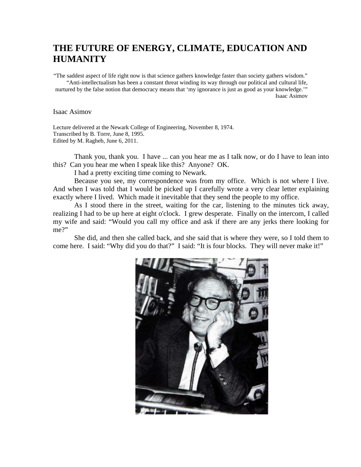## **THE FUTURE OF ENERGY, CLIMATE, EDUCATION AND HUMANITY**

"The saddest aspect of life right now is that science gathers knowledge faster than society gathers wisdom." "Anti-intellectualism has been a constant threat winding its way through our political and cultural life, nurtured by the false notion that democracy means that 'my ignorance is just as good as your knowledge.'"

Isaac Asimov

## Isaac Asimov

Lecture delivered at the Newark College of Engineering, November 8, 1974. Transcribed by B. Torre, June 8, 1995. Edited by M. Ragheb, June 6, 2011.

Thank you, thank you. I have ... can you hear me as I talk now, or do I have to lean into this? Can you hear me when I speak like this? Anyone? OK.

I had a pretty exciting time coming to Newark.

Because you see, my correspondence was from my office. Which is not where I live. And when I was told that I would be picked up I carefully wrote a very clear letter explaining exactly where I lived. Which made it inevitable that they send the people to my office.

As I stood there in the street, waiting for the car, listening to the minutes tick away, realizing I had to be up here at eight o'clock. I grew desperate. Finally on the intercom, I called my wife and said: "Would you call my office and ask if there are any jerks there looking for me?"

She did, and then she called back, and she said that is where they were, so I told them to come here. I said: "Why did you do that?" I said: "It is four blocks. They will never make it!"

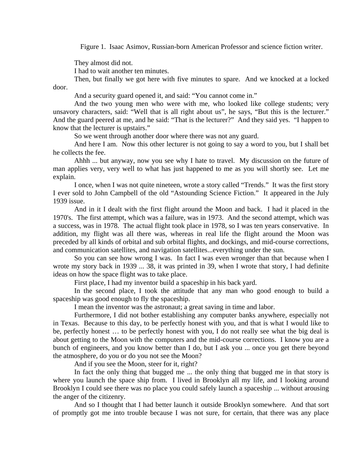Figure 1. Isaac Asimov, Russian-born American Professor and science fiction writer.

They almost did not.

I had to wait another ten minutes.

Then, but finally we got here with five minutes to spare. And we knocked at a locked door.

And a security guard opened it, and said: "You cannot come in."

And the two young men who were with me, who looked like college students; very unsavory characters, said: "Well that is all right about us", he says, "But this is the lecturer." And the guard peered at me, and he said: "That is the lecturer?" And they said yes. "I happen to know that the lecturer is upstairs."

So we went through another door where there was not any guard.

And here I am. Now this other lecturer is not going to say a word to you, but I shall bet he collects the fee.

Ahhh ... but anyway, now you see why I hate to travel. My discussion on the future of man applies very, very well to what has just happened to me as you will shortly see. Let me explain.

I once, when I was not quite nineteen, wrote a story called "Trends." It was the first story I ever sold to John Campbell of the old "Astounding Science Fiction." It appeared in the July 1939 issue.

And in it I dealt with the first flight around the Moon and back. I had it placed in the 1970's. The first attempt, which was a failure, was in 1973. And the second attempt, which was a success, was in 1978. The actual flight took place in 1978, so I was ten years conservative. In addition, my flight was all there was, whereas in real life the flight around the Moon was preceded by all kinds of orbital and sub orbital flights, and dockings, and mid-course corrections, and communication satellites, and navigation satellites...everything under the sun.

So you can see how wrong I was. In fact I was even wronger than that because when I wrote my story back in 1939 ... 38, it was printed in 39, when I wrote that story, I had definite ideas on how the space flight was to take place.

First place, I had my inventor build a spaceship in his back yard.

In the second place, I took the attitude that any man who good enough to build a spaceship was good enough to fly the spaceship.

I mean the inventor was the astronaut; a great saving in time and labor.

Furthermore, I did not bother establishing any computer banks anywhere, especially not in Texas. Because to this day, to be perfectly honest with you, and that is what I would like to be, perfectly honest … to be perfectly honest with you, I do not really see what the big deal is about getting to the Moon with the computers and the mid-course corrections. I know you are a bunch of engineers, and you know better than I do, but I ask you ... once you get there beyond the atmosphere, do you or do you not see the Moon?

And if you see the Moon, steer for it, right?

In fact the only thing that bugged me ... the only thing that bugged me in that story is where you launch the space ship from. I lived in Brooklyn all my life, and I looking around Brooklyn I could see there was no place you could safely launch a spaceship ... without arousing the anger of the citizenry.

And so I thought that I had better launch it outside Brooklyn somewhere. And that sort of promptly got me into trouble because I was not sure, for certain, that there was any place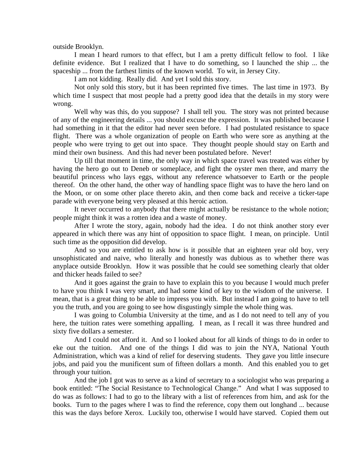outside Brooklyn.

I mean I heard rumors to that effect, but I am a pretty difficult fellow to fool. I like definite evidence. But I realized that I have to do something, so I launched the ship ... the spaceship ... from the farthest limits of the known world. To wit, in Jersey City.

I am not kidding. Really did. And yet I sold this story.

Not only sold this story, but it has been reprinted five times. The last time in 1973. By which time I suspect that most people had a pretty good idea that the details in my story were wrong.

Well why was this, do you suppose? I shall tell you. The story was not printed because of any of the engineering details ... you should excuse the expression. It was published because I had something in it that the editor had never seen before. I had postulated resistance to space flight. There was a whole organization of people on Earth who were sore as anything at the people who were trying to get out into space. They thought people should stay on Earth and mind their own business. And this had never been postulated before. Never!

Up till that moment in time, the only way in which space travel was treated was either by having the hero go out to Deneb or someplace, and fight the oyster men there, and marry the beautiful princess who lays eggs, without any reference whatsoever to Earth or the people thereof. On the other hand, the other way of handling space flight was to have the hero land on the Moon, or on some other place thereto akin, and then come back and receive a ticker-tape parade with everyone being very pleased at this heroic action.

It never occurred to anybody that there might actually be resistance to the whole notion; people might think it was a rotten idea and a waste of money.

After I wrote the story, again, nobody had the idea. I do not think another story ever appeared in which there was any hint of opposition to space flight. I mean, on principle. Until such time as the opposition did develop.

And so you are entitled to ask how is it possible that an eighteen year old boy, very unsophisticated and naive, who literally and honestly was dubious as to whether there was anyplace outside Brooklyn. How it was possible that he could see something clearly that older and thicker heads failed to see?

And it goes against the grain to have to explain this to you because I would much prefer to have you think I was very smart, and had some kind of key to the wisdom of the universe. I mean, that is a great thing to be able to impress you with. But instead I am going to have to tell you the truth, and you are going to see how disgustingly simple the whole thing was.

I was going to Columbia University at the time, and as I do not need to tell any of you here, the tuition rates were something appalling. I mean, as I recall it was three hundred and sixty five dollars a semester.

And I could not afford it. And so I looked about for all kinds of things to do in order to eke out the tuition. And one of the things I did was to join the NYA, National Youth Administration, which was a kind of relief for deserving students. They gave you little insecure jobs, and paid you the munificent sum of fifteen dollars a month. And this enabled you to get through your tuition.

And the job I got was to serve as a kind of secretary to a sociologist who was preparing a book entitled: "The Social Resistance to Technological Change." And what I was supposed to do was as follows: I had to go to the library with a list of references from him, and ask for the books. Turn to the pages where I was to find the reference, copy them out longhand ... because this was the days before Xerox. Luckily too, otherwise I would have starved. Copied them out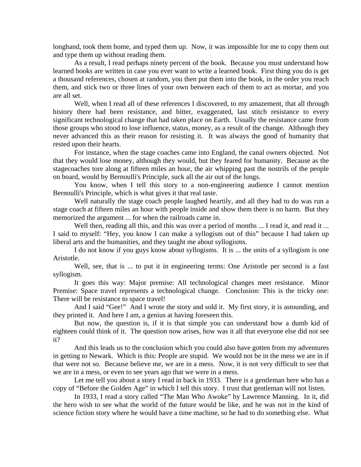longhand, took them home, and typed them up. Now, it was impossible for me to copy them out and type them up without reading them.

As a result, I read perhaps ninety percent of the book. Because you must understand how learned books are written in case you ever want to write a learned book. First thing you do is get a thousand references, chosen at random, you then put them into the book, in the order you reach them, and stick two or three lines of your own between each of them to act as mortar, and you are all set.

Well, when I read all of these references I discovered, to my amazement, that all through history there had been resistance, and bitter, exaggerated, last stitch resistance to every significant technological change that had taken place on Earth. Usually the resistance came from those groups who stood to lose influence, status, money, as a result of the change. Although they never advanced this as their reason for resisting it. It was always the good of humanity that rested upon their hearts.

For instance, when the stage coaches came into England, the canal owners objected. Not that they would lose money, although they would, but they feared for humanity. Because as the stagecoaches tore along at fifteen miles an hour, the air whipping past the nostrils of the people on board, would by Bernoulli's Principle, suck all the air out of the lungs.

You know, when I tell this story to a non-engineering audience I cannot mention Bernoulli's Principle, which is what gives it that real taste.

Well naturally the stage coach people laughed heartily, and all they had to do was run a stage coach at fifteen miles an hour with people inside and show them there is no harm. But they memorized the argument ... for when the railroads came in.

Well then, reading all this, and this was over a period of months ... I read it, and read it ... I said to myself: "Hey, you know I can make a syllogism out of this" because I had taken up liberal arts and the humanities, and they taught me about syllogisms.

I do not know if you guys know about syllogisms. It is ... the units of a syllogism is one Aristotle.

Well, see, that is ... to put it in engineering terms: One Aristotle per second is a fast syllogism.

It goes this way: Major premise: All technological changes meet resistance. Minor Premise: Space travel represents a technological change. Conclusion: This is the tricky one: There will be resistance to space travel!

And I said "Gee!" And I wrote the story and sold it. My first story, it is astounding, and they printed it. And here I am, a genius at having foreseen this.

But now, the question is, if it is that simple you can understand how a dumb kid of eighteen could think of it. The question now arises, how was it all that everyone else did not see it?

And this leads us to the conclusion which you could also have gotten from my adventures in getting to Newark. Which is this: People are stupid. We would not be in the mess we are in if that were not so. Because believe me, we are in a mess. Now, it is not very difficult to see that we are in a mess, or even to see years ago that we were in a mess.

Let me tell you about a story I read in back in 1933. There is a gentleman here who has a copy of "Before the Golden Age" in which I tell this story. I trust that gentleman will not listen.

In 1933, I read a story called "The Man Who Awoke" by Lawrence Manning. In it, did the hero wish to see what the world of the future would be like, and he was not in the kind of science fiction story where he would have a time machine, so he had to do something else. What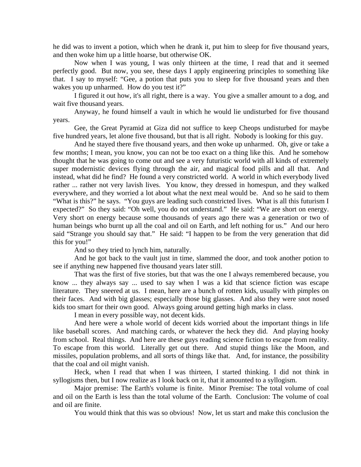he did was to invent a potion, which when he drank it, put him to sleep for five thousand years, and then woke him up a little hoarse, but otherwise OK.

Now when I was young, I was only thirteen at the time, I read that and it seemed perfectly good. But now, you see, these days I apply engineering principles to something like that. I say to myself: "Gee, a potion that puts you to sleep for five thousand years and then wakes you up unharmed. How do you test it?"

I figured it out how, it's all right, there is a way. You give a smaller amount to a dog, and wait five thousand years.

Anyway, he found himself a vault in which he would lie undisturbed for five thousand years.

Gee, the Great Pyramid at Giza did not suffice to keep Cheops undisturbed for maybe five hundred years, let alone five thousand, but that is all right. Nobody is looking for this guy.

And he stayed there five thousand years, and then woke up unharmed. Oh, give or take a few months; I mean, you know, you can not be too exact on a thing like this. And he somehow thought that he was going to come out and see a very futuristic world with all kinds of extremely super modernistic devices flying through the air, and magical food pills and all that. And instead, what did he find? He found a very constricted world. A world in which everybody lived rather ... rather not very lavish lives. You know, they dressed in homespun, and they walked everywhere, and they worried a lot about what the next meal would be. And so he said to them "What is this?" he says. "You guys are leading such constricted lives. What is all this futurism I expected?" So they said: "Oh well, you do not understand." He said: "We are short on energy. Very short on energy because some thousands of years ago there was a generation or two of human beings who burnt up all the coal and oil on Earth, and left nothing for us." And our hero said "Strange you should say that." He said: "I happen to be from the very generation that did this for you!"

And so they tried to lynch him, naturally.

And he got back to the vault just in time, slammed the door, and took another potion to see if anything new happened five thousand years later still.

That was the first of five stories, but that was the one I always remembered because, you know ... they always say ... used to say when I was a kid that science fiction was escape literature. They sneered at us. I mean, here are a bunch of rotten kids, usually with pimples on their faces. And with big glasses; especially those big glasses. And also they were snot nosed kids too smart for their own good. Always going around getting high marks in class.

I mean in every possible way, not decent kids.

And here were a whole world of decent kids worried about the important things in life like baseball scores. And matching cards, or whatever the heck they did. And playing hooky from school. Real things. And here are these guys reading science fiction to escape from reality. To escape from this world. Literally get out there. And stupid things like the Moon, and missiles, population problems, and all sorts of things like that. And, for instance, the possibility that the coal and oil might vanish.

Heck, when I read that when I was thirteen, I started thinking. I did not think in syllogisms then, but I now realize as I look back on it, that it amounted to a syllogism.

Major premise: The Earth's volume is finite. Minor Premise: The total volume of coal and oil on the Earth is less than the total volume of the Earth. Conclusion: The volume of coal and oil are finite.

You would think that this was so obvious! Now, let us start and make this conclusion the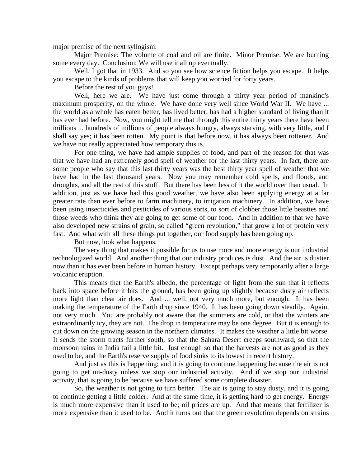major premise of the next syllogism:

Major Premise: The volume of coal and oil are finite. Minor Premise: We are burning some every day. Conclusion: We will use it all up eventually.

Well, I got that in 1933. And so you see how science fiction helps you escape. It helps you escape to the kinds of problems that will keep you worried for forty years.

Before the rest of you guys!

Well, here we are. We have just come through a thirty year period of mankind's maximum prosperity, on the whole. We have done very well since World War II. We have ... the world as a whole has eaten better, has lived better, has had a higher standard of living than it has ever had before. Now, you might tell me that through this entire thirty years there have been millions ... hundreds of millions of people always hungry, always starving, with very little, and I shall say yes; it has been rotten. My point is that before now, it has always been rottener. And we have not really appreciated how temporary this is.

For one thing, we have had ample supplies of food, and part of the reason for that was that we have had an extremely good spell of weather for the last thirty years. In fact, there are some people who say that this last thirty years was the best thirty year spell of weather that we have had in the last thousand years. Now you may remember cold spells, and floods, and droughts, and all the rest of this stuff. But there has been less of it the world over than usual. In addition, just as we have had this good weather, we have also been applying energy at a far greater rate than ever before to farm machinery, to irrigation machinery. In addition, we have been using insecticides and pesticides of various sorts, to sort of clobber those little beasties and those weeds who think they are going to get some of our food. And in addition to that we have also developed new strains of grain, so called "green revolution," that grow a lot of protein very fast. And what with all these things put together, our food supply has been going up.

But now, look what happens.

The very thing that makes it possible for us to use more and more energy is our industrial technologized world. And another thing that our industry produces is dust. And the air is dustier now than it has ever been before in human history. Except perhaps very temporarily after a large volcanic eruption.

This means that the Earth's albedo, the percentage of light from the sun that it reflects back into space before it hits the ground, has been going up slightly because dusty air reflects more light than clear air does. And ... well, not very much more, but enough. It has been making the temperature of the Earth drop since 1940. It has been going down steadily. Again, not very much. You are probably not aware that the summers are cold, or that the winters are extraordinarily icy, they are not. The drop in temperature may be one degree. But it is enough to cut down on the growing season in the northern climates. It makes the weather a little bit worse. It sends the storm tracts further south, so that the Sahara Desert creeps southward, so that the monsoon rains in India fail a little bit. Just enough so that the harvests are not as good as they used to be, and the Earth's reserve supply of food sinks to its lowest in recent history.

And just as this is happening; and it is going to continue happening because the air is not going to get un-dusty unless we stop our industrial activity. And if we stop our industrial activity, that is going to be because we have suffered some complete disaster.

So, the weather is not going to turn better. The air is going to stay dusty, and it is going to continue getting a little colder. And at the same time, it is getting hard to get energy. Energy is much more expensive than it used to be; oil prices are up. And that means that fertilizer is more expensive than it used to be. And it turns out that the green revolution depends on strains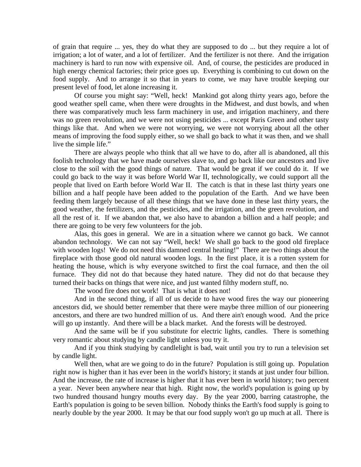of grain that require ... yes, they do what they are supposed to do ... but they require a lot of irrigation; a lot of water, and a lot of fertilizer. And the fertilizer is not there. And the irrigation machinery is hard to run now with expensive oil. And, of course, the pesticides are produced in high energy chemical factories; their price goes up. Everything is combining to cut down on the food supply. And to arrange it so that in years to come, we may have trouble keeping our present level of food, let alone increasing it.

Of course you might say: "Well, heck! Mankind got along thirty years ago, before the good weather spell came, when there were droughts in the Midwest, and dust bowls, and when there was comparatively much less farm machinery in use, and irrigation machinery, and there was no green revolution, and we were not using pesticides ... except Paris Green and other tasty things like that. And when we were not worrying, we were not worrying about all the other means of improving the food supply either, so we shall go back to what it was then, and we shall live the simple life."

There are always people who think that all we have to do, after all is abandoned, all this foolish technology that we have made ourselves slave to, and go back like our ancestors and live close to the soil with the good things of nature. That would be great if we could do it. If we could go back to the way it was before World War II, technologically, we could support all the people that lived on Earth before World War II. The catch is that in these last thirty years one billion and a half people have been added to the population of the Earth. And we have been feeding them largely because of all these things that we have done in these last thirty years, the good weather, the fertilizers, and the pesticides, and the irrigation, and the green revolution, and all the rest of it. If we abandon that, we also have to abandon a billion and a half people; and there are going to be very few volunteers for the job.

Alas, this goes in general. We are in a situation where we cannot go back. We cannot abandon technology. We can not say "Well, heck! We shall go back to the good old fireplace with wooden logs! We do not need this damned central heating!" There are two things about the fireplace with those good old natural wooden logs. In the first place, it is a rotten system for heating the house, which is why everyone switched to first the coal furnace, and then the oil furnace. They did not do that because they hated nature. They did not do that because they turned their backs on things that were nice, and just wanted filthy modern stuff, no.

The wood fire does not work! That is what it does not!

And in the second thing, if all of us decide to have wood fires the way our pioneering ancestors did, we should better remember that there were maybe three million of our pioneering ancestors, and there are two hundred million of us. And there ain't enough wood. And the price will go up instantly. And there will be a black market. And the forests will be destroyed.

And the same will be if you substitute for electric lights, candles. There is something very romantic about studying by candle light unless you try it.

And if you think studying by candlelight is bad, wait until you try to run a television set by candle light.

Well then, what are we going to do in the future? Population is still going up. Population right now is higher than it has ever been in the world's history; it stands at just under four billion. And the increase, the rate of increase is higher that it has ever been in world history; two percent a year. Never been anywhere near that high. Right now, the world's population is going up by two hundred thousand hungry mouths every day. By the year 2000, barring catastrophe, the Earth's population is going to be seven billion. Nobody thinks the Earth's food supply is going to nearly double by the year 2000. It may be that our food supply won't go up much at all. There is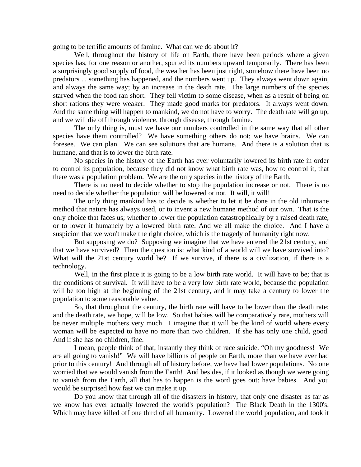going to be terrific amounts of famine. What can we do about it?

Well, throughout the history of life on Earth, there have been periods where a given species has, for one reason or another, spurted its numbers upward temporarily. There has been a surprisingly good supply of food, the weather has been just right, somehow there have been no predators ... something has happened, and the numbers went up. They always went down again, and always the same way; by an increase in the death rate. The large numbers of the species starved when the food ran short. They fell victim to some disease, when as a result of being on short rations they were weaker. They made good marks for predators. It always went down. And the same thing will happen to mankind, we do not have to worry. The death rate will go up, and we will die off through violence, through disease, through famine.

The only thing is, must we have our numbers controlled in the same way that all other species have them controlled? We have something others do not; we have brains. We can foresee. We can plan. We can see solutions that are humane. And there is a solution that is humane, and that is to lower the birth rate.

No species in the history of the Earth has ever voluntarily lowered its birth rate in order to control its population, because they did not know what birth rate was, how to control it, that there was a population problem. We are the only species in the history of the Earth.

There is no need to decide whether to stop the population increase or not. There is no need to decide whether the population will be lowered or not. It will, it will!

The only thing mankind has to decide is whether to let it be done in the old inhumane method that nature has always used, or to invent a new humane method of our own. That is the only choice that faces us; whether to lower the population catastrophically by a raised death rate, or to lower it humanely by a lowered birth rate. And we all make the choice. And I have a suspicion that we won't make the right choice, which is the tragedy of humanity right now.

But supposing we do? Supposing we imagine that we have entered the 21st century, and that we have survived? Then the question is: what kind of a world will we have survived into? What will the 21st century world be? If we survive, if there is a civilization, if there is a technology.

Well, in the first place it is going to be a low birth rate world. It will have to be; that is the conditions of survival. It will have to be a very low birth rate world, because the population will be too high at the beginning of the 21st century, and it may take a century to lower the population to some reasonable value.

So, that throughout the century, the birth rate will have to be lower than the death rate; and the death rate, we hope, will be low. So that babies will be comparatively rare, mothers will be never multiple mothers very much. I imagine that it will be the kind of world where every woman will be expected to have no more than two children. If she has only one child, good. And if she has no children, fine.

I mean, people think of that, instantly they think of race suicide. "Oh my goodness! We are all going to vanish!" We will have billions of people on Earth, more than we have ever had prior to this century! And through all of history before, we have had lower populations. No one worried that we would vanish from the Earth! And besides, if it looked as though we were going to vanish from the Earth, all that has to happen is the word goes out: have babies. And you would be surprised how fast we can make it up.

Do you know that through all of the disasters in history, that only one disaster as far as we know has ever actually lowered the world's population? The Black Death in the 1300's. Which may have killed off one third of all humanity. Lowered the world population, and took it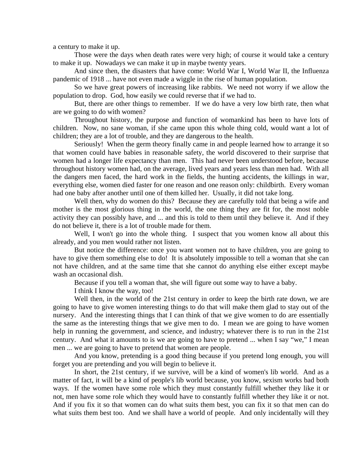a century to make it up.

Those were the days when death rates were very high; of course it would take a century to make it up. Nowadays we can make it up in maybe twenty years.

And since then, the disasters that have come: World War I, World War II, the Influenza pandemic of 1918 ... have not even made a wiggle in the rise of human population.

So we have great powers of increasing like rabbits. We need not worry if we allow the population to drop. God, how easily we could reverse that if we had to.

But, there are other things to remember. If we do have a very low birth rate, then what are we going to do with women?

Throughout history, the purpose and function of womankind has been to have lots of children. Now, no sane woman, if she came upon this whole thing cold, would want a lot of children; they are a lot of trouble, and they are dangerous to the health.

Seriously! When the germ theory finally came in and people learned how to arrange it so that women could have babies in reasonable safety, the world discovered to their surprise that women had a longer life expectancy than men. This had never been understood before, because throughout history women had, on the average, lived years and years less than men had. With all the dangers men faced, the hard work in the fields, the hunting accidents, the killings in war, everything else, women died faster for one reason and one reason only: childbirth. Every woman had one baby after another until one of them killed her. Usually, it did not take long.

Well then, why do women do this? Because they are carefully told that being a wife and mother is the most glorious thing in the world, the one thing they are fit for, the most noble activity they can possibly have, and ... and this is told to them until they believe it. And if they do not believe it, there is a lot of trouble made for them.

Well, I won't go into the whole thing. I suspect that you women know all about this already, and you men would rather not listen.

But notice the difference: once you want women not to have children, you are going to have to give them something else to do! It is absolutely impossible to tell a woman that she can not have children, and at the same time that she cannot do anything else either except maybe wash an occasional dish.

Because if you tell a woman that, she will figure out some way to have a baby.

I think I know the way, too!

Well then, in the world of the 21st century in order to keep the birth rate down, we are going to have to give women interesting things to do that will make them glad to stay out of the nursery. And the interesting things that I can think of that we give women to do are essentially the same as the interesting things that we give men to do. I mean we are going to have women help in running the government, and science, and industry; whatever there is to run in the 21st century. And what it amounts to is we are going to have to pretend ... when I say "we," I mean men ... we are going to have to pretend that women are people.

And you know, pretending is a good thing because if you pretend long enough, you will forget you are pretending and you will begin to believe it.

In short, the 21st century, if we survive, will be a kind of women's lib world. And as a matter of fact, it will be a kind of people's lib world because, you know, sexism works bad both ways. If the women have some role which they must constantly fulfill whether they like it or not, men have some role which they would have to constantly fulfill whether they like it or not. And if you fix it so that women can do what suits them best, you can fix it so that men can do what suits them best too. And we shall have a world of people. And only incidentally will they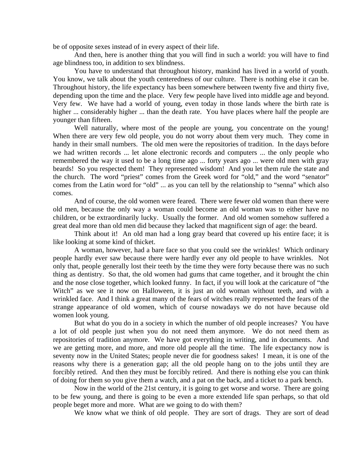be of opposite sexes instead of in every aspect of their life.

And then, here is another thing that you will find in such a world: you will have to find age blindness too, in addition to sex blindness.

You have to understand that throughout history, mankind has lived in a world of youth. You know, we talk about the youth centeredness of our culture. There is nothing else it can be. Throughout history, the life expectancy has been somewhere between twenty five and thirty five, depending upon the time and the place. Very few people have lived into middle age and beyond. Very few. We have had a world of young, even today in those lands where the birth rate is higher ... considerably higher ... than the death rate. You have places where half the people are younger than fifteen.

Well naturally, where most of the people are young, you concentrate on the young! When there are very few old people, you do not worry about them very much. They come in handy in their small numbers. The old men were the repositories of tradition. In the days before we had written records ... let alone electronic records and computers ... the only people who remembered the way it used to be a long time ago ... forty years ago ... were old men with gray beards! So you respected them! They represented wisdom! And you let them rule the state and the church. The word "priest" comes from the Greek word for "old," and the word "senator" comes from the Latin word for "old" ... as you can tell by the relationship to "senna" which also comes.

And of course, the old women were feared. There were fewer old women than there were old men, because the only way a woman could become an old woman was to either have no children, or be extraordinarily lucky. Usually the former. And old women somehow suffered a great deal more than old men did because they lacked that magnificent sign of age: the beard.

Think about it! An old man had a long gray beard that covered up his entire face; it is like looking at some kind of thicket.

A woman, however, had a bare face so that you could see the wrinkles! Which ordinary people hardly ever saw because there were hardly ever any old people to have wrinkles. Not only that, people generally lost their teeth by the time they were forty because there was no such thing as dentistry. So that, the old women had gums that came together, and it brought the chin and the nose close together, which looked funny. In fact, if you will look at the caricature of "the Witch" as we see it now on Halloween, it is just an old woman without teeth, and with a wrinkled face. And I think a great many of the fears of witches really represented the fears of the strange appearance of old women, which of course nowadays we do not have because old women look young.

But what do you do in a society in which the number of old people increases? You have a lot of old people just when you do not need them anymore. We do not need them as repositories of tradition anymore. We have got everything in writing, and in documents. And we are getting more, and more, and more old people all the time. The life expectancy now is seventy now in the United States; people never die for goodness sakes! I mean, it is one of the reasons why there is a generation gap; all the old people hang on to the jobs until they are forcibly retired. And then they must be forcibly retired. And there is nothing else you can think of doing for them so you give them a watch, and a pat on the back, and a ticket to a park bench.

Now in the world of the 21st century, it is going to get worse and worse. There are going to be few young, and there is going to be even a more extended life span perhaps, so that old people beget more and more. What are we going to do with them?

We know what we think of old people. They are sort of drags. They are sort of dead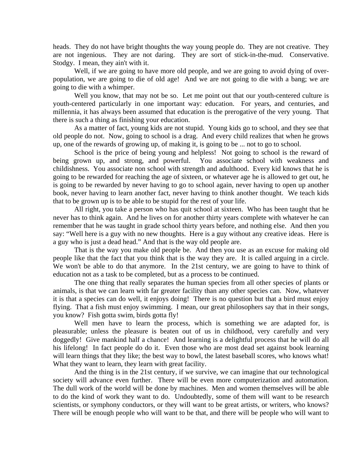heads. They do not have bright thoughts the way young people do. They are not creative. They are not ingenious. They are not daring. They are sort of stick-in-the-mud. Conservative. Stodgy. I mean, they ain't with it.

Well, if we are going to have more old people, and we are going to avoid dying of overpopulation, we are going to die of old age! And we are not going to die with a bang; we are going to die with a whimper.

Well you know, that may not be so. Let me point out that our youth-centered culture is youth-centered particularly in one important way: education. For years, and centuries, and millennia, it has always been assumed that education is the prerogative of the very young. That there is such a thing as finishing your education.

As a matter of fact, young kids are not stupid. Young kids go to school, and they see that old people do not. Now, going to school is a drag. And every child realizes that when he grows up, one of the rewards of growing up, of making it, is going to be ... not to go to school.

School is the price of being young and helpless! Not going to school is the reward of being grown up, and strong, and powerful. You associate school with weakness and childishness. You associate non school with strength and adulthood. Every kid knows that he is going to be rewarded for reaching the age of sixteen, or whatever age he is allowed to get out, he is going to be rewarded by never having to go to school again, never having to open up another book, never having to learn another fact, never having to think another thought. We teach kids that to be grown up is to be able to be stupid for the rest of your life.

All right, you take a person who has quit school at sixteen. Who has been taught that he never has to think again. And he lives on for another thirty years complete with whatever he can remember that he was taught in grade school thirty years before, and nothing else. And then you say: "Well here is a guy with no new thoughts. Here is a guy without any creative ideas. Here is a guy who is just a dead head." And that is the way old people are.

That is the way you make old people be. And then you use as an excuse for making old people like that the fact that you think that is the way they are. It is called arguing in a circle. We won't be able to do that anymore. In the 21st century, we are going to have to think of education not as a task to be completed, but as a process to be continued.

The one thing that really separates the human species from all other species of plants or animals, is that we can learn with far greater facility than any other species can. Now, whatever it is that a species can do well, it enjoys doing! There is no question but that a bird must enjoy flying. That a fish must enjoy swimming. I mean, our great philosophers say that in their songs, you know? Fish gotta swim, birds gotta fly!

Well men have to learn the process, which is something we are adapted for, is pleasurable; unless the pleasure is beaten out of us in childhood, very carefully and very doggedly! Give mankind half a chance! And learning is a delightful process that he will do all his lifelong! In fact people do do it. Even those who are most dead set against book learning will learn things that they like; the best way to bowl, the latest baseball scores, who knows what! What they want to learn, they learn with great facility.

And the thing is in the 21st century, if we survive, we can imagine that our technological society will advance even further. There will be even more computerization and automation. The dull work of the world will be done by machines. Men and women themselves will be able to do the kind of work they want to do. Undoubtedly, some of them will want to be research scientists, or symphony conductors, or they will want to be great artists, or writers, who knows? There will be enough people who will want to be that, and there will be people who will want to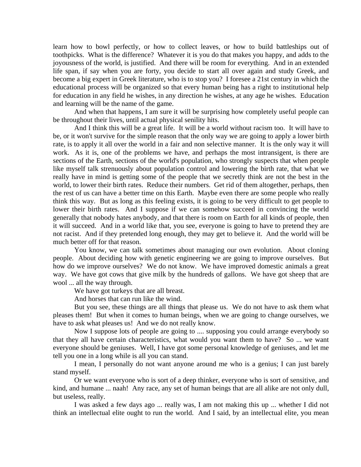learn how to bowl perfectly, or how to collect leaves, or how to build battleships out of toothpicks. What is the difference? Whatever it is you do that makes you happy, and adds to the joyousness of the world, is justified. And there will be room for everything. And in an extended life span, if say when you are forty, you decide to start all over again and study Greek, and become a big expert in Greek literature, who is to stop you? I foresee a 21st century in which the educational process will be organized so that every human being has a right to institutional help for education in any field he wishes, in any direction he wishes, at any age he wishes. Education and learning will be the name of the game.

And when that happens, I am sure it will be surprising how completely useful people can be throughout their lives, until actual physical senility hits.

And I think this will be a great life. It will be a world without racism too. It will have to be, or it won't survive for the simple reason that the only way we are going to apply a lower birth rate, is to apply it all over the world in a fair and non selective manner. It is the only way it will work. As it is, one of the problems we have, and perhaps the most intransigent, is there are sections of the Earth, sections of the world's population, who strongly suspects that when people like myself talk strenuously about population control and lowering the birth rate, that what we really have in mind is getting some of the people that we secretly think are not the best in the world, to lower their birth rates. Reduce their numbers. Get rid of them altogether, perhaps, then the rest of us can have a better time on this Earth. Maybe even there are some people who really think this way. But as long as this feeling exists, it is going to be very difficult to get people to lower their birth rates. And I suppose if we can somehow succeed in convincing the world generally that nobody hates anybody, and that there is room on Earth for all kinds of people, then it will succeed. And in a world like that, you see, everyone is going to have to pretend they are not racist. And if they pretended long enough, they may get to believe it. And the world will be much better off for that reason.

You know, we can talk sometimes about managing our own evolution. About cloning people. About deciding how with genetic engineering we are going to improve ourselves. But how do we improve ourselves? We do not know. We have improved domestic animals a great way. We have got cows that give milk by the hundreds of gallons. We have got sheep that are wool ... all the way through.

We have got turkeys that are all breast.

And horses that can run like the wind.

But you see, these things are all things that please us. We do not have to ask them what pleases them! But when it comes to human beings, when we are going to change ourselves, we have to ask what pleases us! And we do not really know.

Now I suppose lots of people are going to .... supposing you could arrange everybody so that they all have certain characteristics, what would you want them to have? So ... we want everyone should be geniuses. Well, I have got some personal knowledge of geniuses, and let me tell you one in a long while is all you can stand.

I mean, I personally do not want anyone around me who is a genius; I can just barely stand myself.

Or we want everyone who is sort of a deep thinker, everyone who is sort of sensitive, and kind, and humane ... naah! Any race, any set of human beings that are all alike are not only dull, but useless, really.

I was asked a few days ago ... really was, I am not making this up ... whether I did not think an intellectual elite ought to run the world. And I said, by an intellectual elite, you mean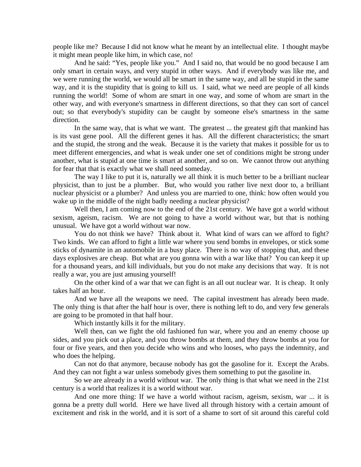people like me? Because I did not know what he meant by an intellectual elite. I thought maybe it might mean people like him, in which case, no!

And he said: "Yes, people like you." And I said no, that would be no good because I am only smart in certain ways, and very stupid in other ways. And if everybody was like me, and we were running the world, we would all be smart in the same way, and all be stupid in the same way, and it is the stupidity that is going to kill us. I said, what we need are people of all kinds running the world! Some of whom are smart in one way, and some of whom are smart in the other way, and with everyone's smartness in different directions, so that they can sort of cancel out; so that everybody's stupidity can be caught by someone else's smartness in the same direction.

In the same way, that is what we want. The greatest ... the greatest gift that mankind has is its vast gene pool. All the different genes it has. All the different characteristics; the smart and the stupid, the strong and the weak. Because it is the variety that makes it possible for us to meet different emergencies, and what is weak under one set of conditions might be strong under another, what is stupid at one time is smart at another, and so on. We cannot throw out anything for fear that that is exactly what we shall need someday.

The way I like to put it is, naturally we all think it is much better to be a brilliant nuclear physicist, than to just be a plumber. But, who would you rather live next door to, a brilliant nuclear physicist or a plumber? And unless you are married to one, think: how often would you wake up in the middle of the night badly needing a nuclear physicist?

Well then, I am coming now to the end of the 21st century. We have got a world without sexism, ageism, racism. We are not going to have a world without war, but that is nothing unusual. We have got a world without war now.

You do not think we have? Think about it. What kind of wars can we afford to fight? Two kinds. We can afford to fight a little war where you send bombs in envelopes, or stick some sticks of dynamite in an automobile in a busy place. There is no way of stopping that, and these days explosives are cheap. But what are you gonna win with a war like that? You can keep it up for a thousand years, and kill individuals, but you do not make any decisions that way. It is not really a war, you are just amusing yourself!

On the other kind of a war that we can fight is an all out nuclear war. It is cheap. It only takes half an hour.

And we have all the weapons we need. The capital investment has already been made. The only thing is that after the half hour is over, there is nothing left to do, and very few generals are going to be promoted in that half hour.

Which instantly kills it for the military.

Well then, can we fight the old fashioned fun war, where you and an enemy choose up sides, and you pick out a place, and you throw bombs at them, and they throw bombs at you for four or five years, and then you decide who wins and who looses, who pays the indemnity, and who does the helping.

Can not do that anymore, because nobody has got the gasoline for it. Except the Arabs. And they can not fight a war unless somebody gives them something to put the gasoline in.

So we are already in a world without war. The only thing is that what we need in the 21st century is a world that realizes it is a world without war.

And one more thing: If we have a world without racism, ageism, sexism, war ... it is gonna be a pretty dull world. Here we have lived all through history with a certain amount of excitement and risk in the world, and it is sort of a shame to sort of sit around this careful cold